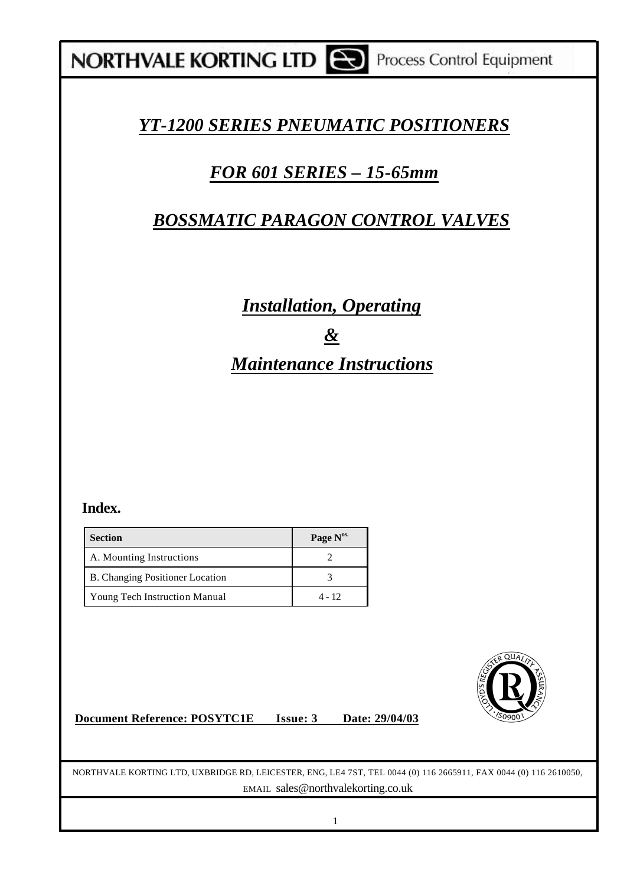## **NORTHVALE KORTING LTD CO** Process Control Equipment

## *YT-1200 SERIES PNEUMATIC POSITIONERS*

## *FOR 601 SERIES – 15-65mm*

## *BOSSMATIC PARAGON CONTROL VALVES*

## *Installation, Operating & Maintenance Instructions*

### **Index.**

| <b>Section</b>                  | Page N <sup>os.</sup> |
|---------------------------------|-----------------------|
| A. Mounting Instructions        |                       |
| B. Changing Positioner Location |                       |
| Young Tech Instruction Manual   | 4 - 12                |



NORTHVALE KORTING LTD, UXBRIDGE RD, LEICESTER, ENG, LE4 7ST, TEL 0044 (0) 116 2665911, FAX 0044 (0) 116 2610050, EMAIL sales@northvalekorting.co.uk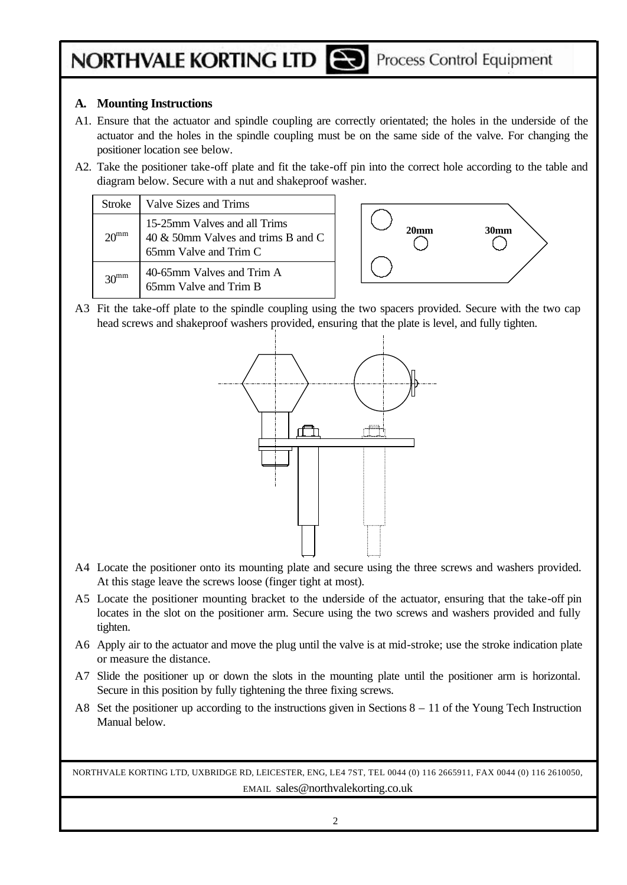## **NORTHVALE KORTING LTD [22]** Process Control Equipment

#### **A. Mounting Instructions**

- A1. Ensure that the actuator and spindle coupling are correctly orientated; the holes in the underside of the actuator and the holes in the spindle coupling must be on the same side of the valve. For changing the positioner location see below.
- A2. Take the positioner take-off plate and fit the take-off pin into the correct hole according to the table and diagram below. Secure with a nut and shakeproof washer.

| Stroke - | Valve Sizes and Trims                                                                       |
|----------|---------------------------------------------------------------------------------------------|
|          | 15-25mm Valves and all Trims<br>40 & 50mm Valves and trims B and C<br>65mm Valve and Trim C |
|          | 40-65mm Valves and Trim A<br>65mm Valve and Trim B                                          |



A3 Fit the take-off plate to the spindle coupling using the two spacers provided. Secure with the two cap head screws and shakeproof washers provided, ensuring that the plate is level, and fully tighten.



- A4 Locate the positioner onto its mounting plate and secure using the three screws and washers provided. At this stage leave the screws loose (finger tight at most).
- A5 Locate the positioner mounting bracket to the underside of the actuator, ensuring that the take-off pin locates in the slot on the positioner arm. Secure using the two screws and washers provided and fully tighten.
- A6 Apply air to the actuator and move the plug until the valve is at mid-stroke; use the stroke indication plate or measure the distance.
- A7 Slide the positioner up or down the slots in the mounting plate until the positioner arm is horizontal. Secure in this position by fully tightening the three fixing screws.
- A8 Set the positioner up according to the instructions given in Sections 8 11 of the Young Tech Instruction Manual below.

NORTHVALE KORTING LTD, UXBRIDGE RD, LEICESTER, ENG, LE4 7ST, TEL 0044 (0) 116 2665911, FAX 0044 (0) 116 2610050, EMAIL sales@northvalekorting.co.uk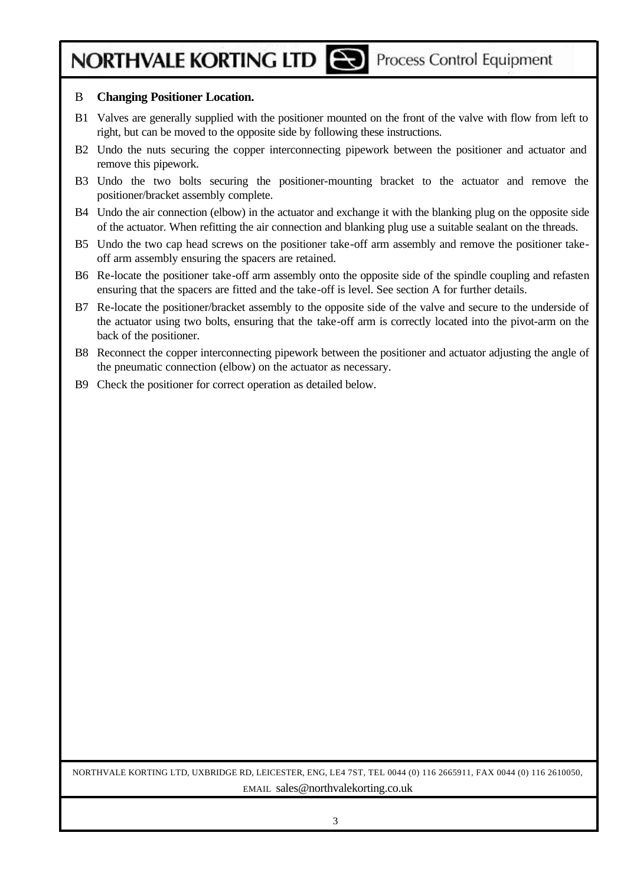# **NORTHVALE KORTING LTD [22]** Process Control Equipment

#### B **Changing Positioner Location.**

- B1 Valves are generally supplied with the positioner mounted on the front of the valve with flow from left to right, but can be moved to the opposite side by following these instructions.
- B2 Undo the nuts securing the copper interconnecting pipework between the positioner and actuator and remove this pipework.
- B3 Undo the two bolts securing the positioner-mounting bracket to the actuator and remove the positioner/bracket assembly complete.
- B4 Undo the air connection (elbow) in the actuator and exchange it with the blanking plug on the opposite side of the actuator. When refitting the air connection and blanking plug use a suitable sealant on the threads.
- B5 Undo the two cap head screws on the positioner take-off arm assembly and remove the positioner takeoff arm assembly ensuring the spacers are retained.
- B6 Re-locate the positioner take-off arm assembly onto the opposite side of the spindle coupling and refasten ensuring that the spacers are fitted and the take-off is level. See section A for further details.
- B7 Re-locate the positioner/bracket assembly to the opposite side of the valve and secure to the underside of the actuator using two bolts, ensuring that the take-off arm is correctly located into the pivot-arm on the back of the positioner.
- B8 Reconnect the copper interconnecting pipework between the positioner and actuator adjusting the angle of the pneumatic connection (elbow) on the actuator as necessary.
- B9 Check the positioner for correct operation as detailed below.

NORTHVALE KORTING LTD, UXBRIDGE RD, LEICESTER, ENG, LE4 7ST, TEL 0044 (0) 116 2665911, FAX 0044 (0) 116 2610050, EMAIL sales@northvalekorting.co.uk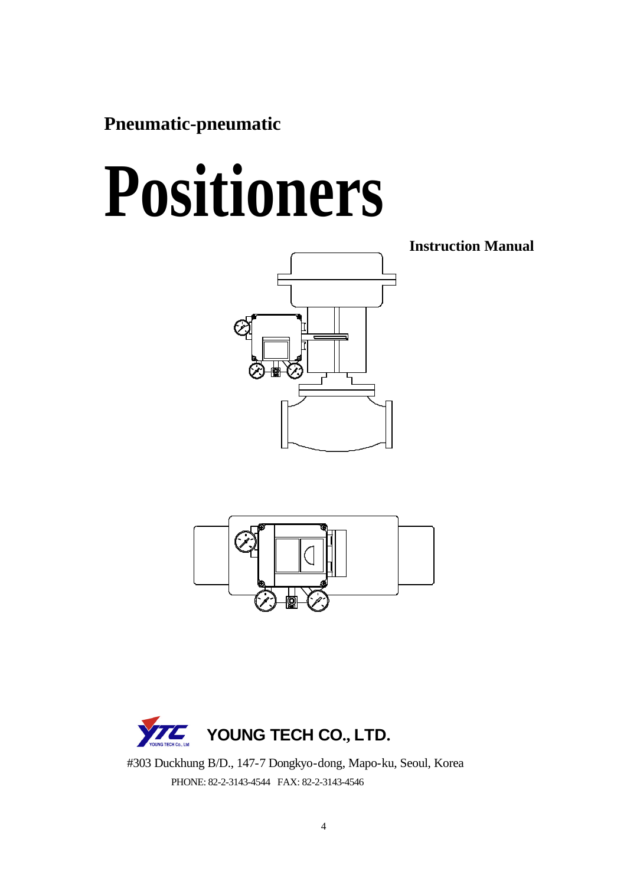**Pneumatic-pneumatic**

# **Positioners**



**Instruction Manual**





 #303 Duckhung B/D., 147-7 Dongkyo-dong, Mapo-ku, Seoul, Korea PHONE: 82-2-3143-4544 FAX: 82-2-3143-4546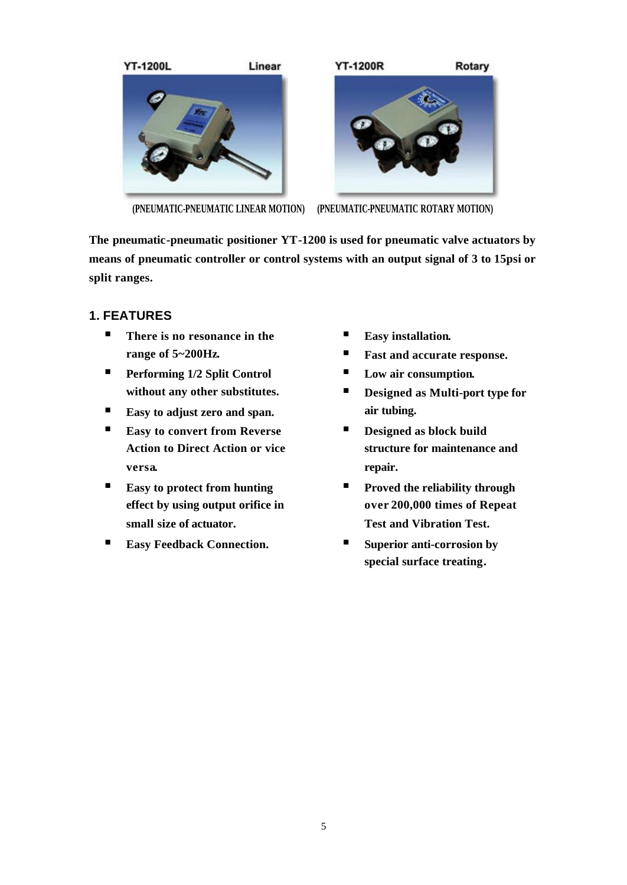

**(PNEUMATIC-PNEUMATIC LINEAR MOTION) (PNEUMATIC-PNEUMATIC ROTARY MOTION)**

**The pneumatic-pneumatic positioner YT-1200 is used for pneumatic valve actuators by means of pneumatic controller or control systems with an output signal of 3 to 15psi or split ranges.**

### **1. FEATURES**

- There is no resonance in the **range of 5~200Hz.**
- **Performing 1/2 Split Control without any other substitutes.**
- ß **Easy to adjust zero and span.**
- **Easy to convert from Reverse Action to Direct Action or vice versa.**
- Easy to protect from hunting **effect by using output orifice in small size of actuator.**
- Easy Feedback Connection.
- **Easy** installation.
- Fast and accurate response.
- Low air consumption.
- **Designed as Multi-port type for air tubing.**
- Designed as block build **structure for maintenance and repair.**
- **Proved the reliability through over 200,000 times of Repeat Test and Vibration Test.**
- Superior anti-corrosion by **special surface treating.**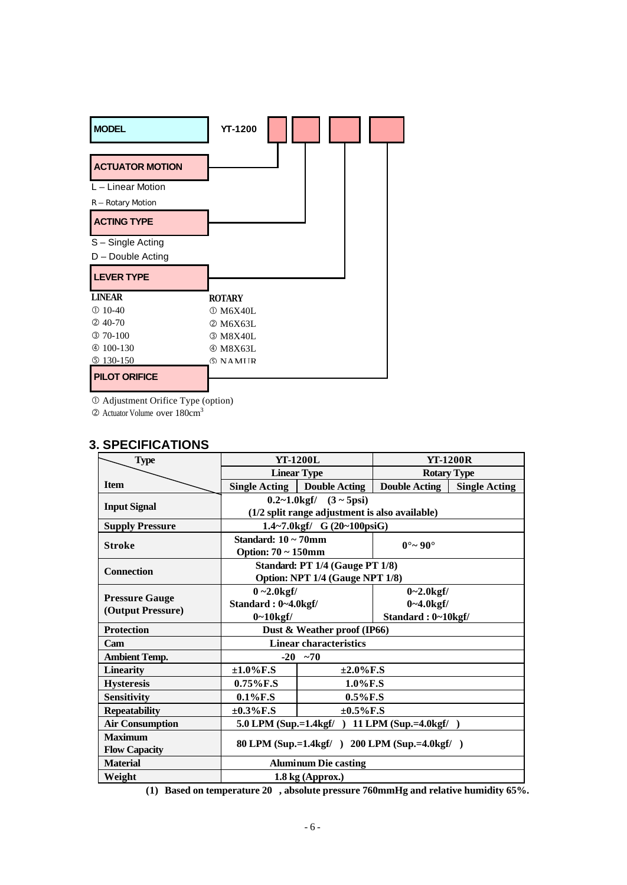| <b>MODEL</b>           | <b>YT-1200</b>                        |
|------------------------|---------------------------------------|
| <b>ACTUATOR MOTION</b> |                                       |
| $L -$ Linear Motion    |                                       |
| R - Rotary Motion      |                                       |
| <b>ACTING TYPE</b>     |                                       |
| S-Single Acting        |                                       |
| D - Double Acting      |                                       |
| <b>LEVER TYPE</b>      |                                       |
| <b>LINEAR</b>          | <b>ROTARY</b>                         |
| $①$ 10-40              | $\textcircled{\scriptsize{1}}$ M6X40L |
| $@$ 40-70              | 2 M6X63L                              |
| $@70-100$              | $@$ M8X40L                            |
| $@100-130$             | $@$ M8X63L                            |
| $$130-150$             | <b>6 NAMIR</b>                        |
| <b>PILOT ORIFICE</b>   |                                       |

Å Adjustment Orifice Type (option)

Ç Actuator Volume over 180cm<sup>3</sup>

| <b>Type</b>            | <b>YT-1200L</b>                                        |                      | <b>YT-1200R</b>             |                      |  |
|------------------------|--------------------------------------------------------|----------------------|-----------------------------|----------------------|--|
|                        | <b>Linear Type</b>                                     |                      | <b>Rotary Type</b>          |                      |  |
| <b>Item</b>            | Single Acting                                          | <b>Double Acting</b> | <b>Double Acting</b>        | <b>Single Acting</b> |  |
| <b>Input Signal</b>    | $0.2~1.0$ kgf $/$ $(3~5)$ psi                          |                      |                             |                      |  |
|                        | (1/2 split range adjustment is also available)         |                      |                             |                      |  |
| <b>Supply Pressure</b> | 1.4~7.0kgf/ G (20~100psiG)                             |                      |                             |                      |  |
| <b>Stroke</b>          | Standard: $10 \sim 70$ mm<br><b>Option: 70 ~ 150mm</b> |                      | $0^{\circ}$ ~ 90 $^{\circ}$ |                      |  |
| <b>Connection</b>      | Standard: PT 1/4 (Gauge PT 1/8)                        |                      |                             |                      |  |
|                        | Option: NPT 1/4 (Gauge NPT 1/8)                        |                      |                             |                      |  |
|                        | $0 - 2.0$ kgf/                                         |                      | $0 - 2.0$ kgf/              |                      |  |
| <b>Pressure Gauge</b>  | Standard: 0~4.0kgf/                                    |                      | $0 - 4.0$ kgf/              |                      |  |
| (Output Pressure)      | $0 - 10$ kgf/                                          |                      | Standard: 0~10kgf/          |                      |  |
| <b>Protection</b>      | Dust & Weather proof (IP66)                            |                      |                             |                      |  |
| Cam                    | <b>Linear characteristics</b>                          |                      |                             |                      |  |
| <b>Ambient Temp.</b>   | $-20$ ~70                                              |                      |                             |                      |  |
| <b>Linearity</b>       | $±1.0\%$ F.S                                           | $\pm 2.0\%$ F.S      |                             |                      |  |
| <b>Hysteresis</b>      | $0.75\%$ F.S                                           | $1.0\%$ F.S          |                             |                      |  |
| <b>Sensitivity</b>     | $0.1\%$ F.S                                            | $0.5\%$ F.S          |                             |                      |  |
| <b>Repeatability</b>   | $\pm 0.3\%$ F.S                                        | $±0.5\%$ F.S         |                             |                      |  |
| <b>Air Consumption</b> | 5.0 LPM (Sup.=1.4kgf/) 11 LPM (Sup.=4.0kgf/)           |                      |                             |                      |  |
| <b>Maximum</b>         |                                                        |                      |                             |                      |  |
| <b>Flow Capacity</b>   | 80 LPM (Sup.=1.4kgf/) 200 LPM (Sup.=4.0kgf/)           |                      |                             |                      |  |
| <b>Material</b>        | <b>Aluminum Die casting</b>                            |                      |                             |                      |  |
| Weight                 | $1.8$ kg (Approx.)                                     |                      |                             |                      |  |

#### **3. SPECIFICATIONS**

**(1) Based on temperature 20 , absolute pressure 760mmHg and relative humidity 65%.**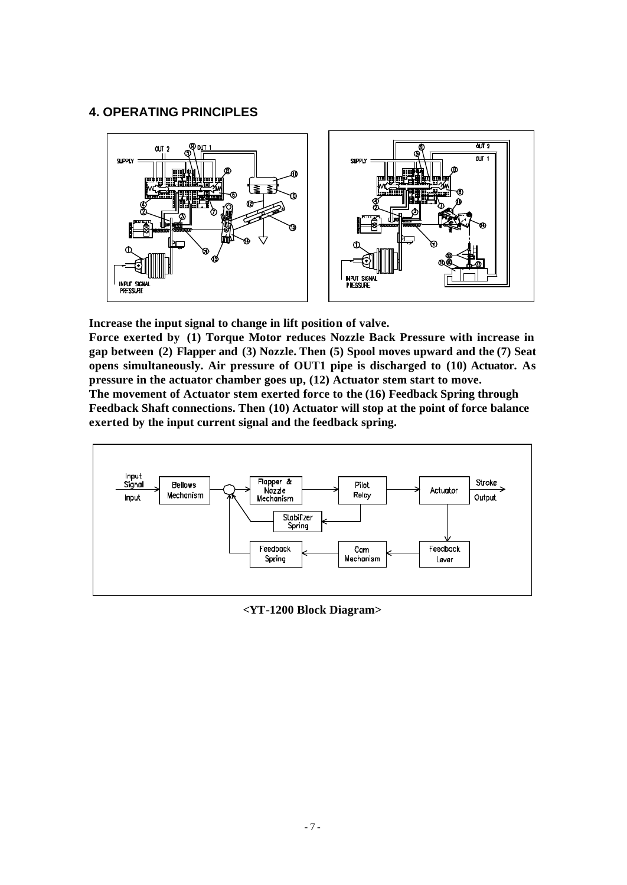#### **4. OPERATING PRINCIPLES**



**Increase the input signal to change in lift position of valve.**

**Force exerted by (1) Torque Motor reduces Nozzle Back Pressure with increase in gap between (2) Flapper and (3) Nozzle. Then (5) Spool moves upward and the (7) Seat opens simultaneously. Air pressure of OUT1 pipe is discharged to (10) Actuator. As pressure in the actuator chamber goes up, (12) Actuator stem start to move. The movement of Actuator stem exerted force to the (16) Feedback Spring through Feedback Shaft connections. Then (10) Actuator will stop at the point of force balance** 

**exerted by the input current signal and the feedback spring.**



**<YT-1200 Block Diagram>**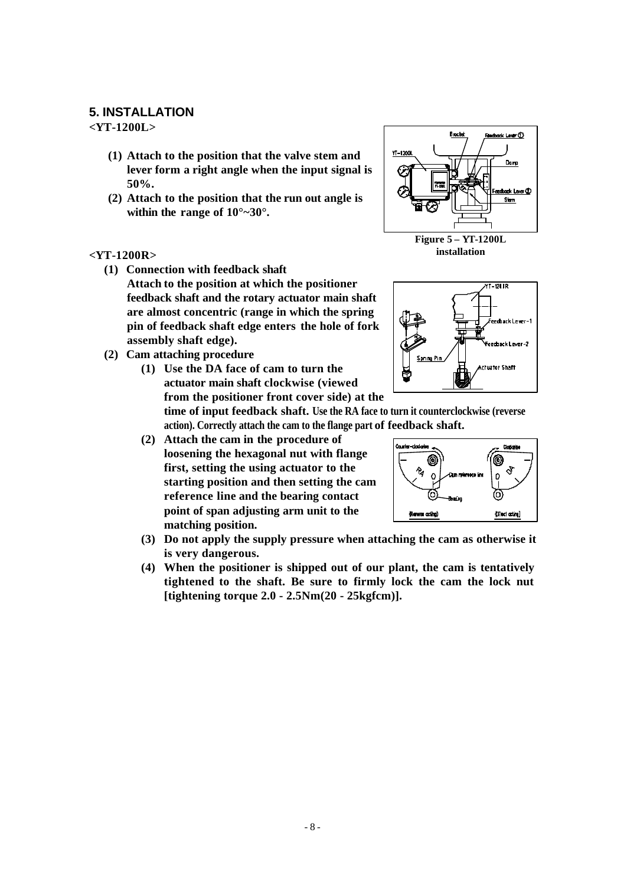#### **5. INSTALLATION**

**<YT-1200L>**

- **(1) Attach to the position that the valve stem and lever form a right angle when the input signal is 50%.**
- **(2) Attach to the position that the run out angle is within the range of 10°~30°.**

#### **<YT-1200R>**

- **(1) Connection with feedback shaft Attach to the position at which the positioner feedback shaft and the rotary actuator main shaft are almost concentric (range in which the spring pin of feedback shaft edge enters the hole of fork assembly shaft edge).**
- **(2) Cam attaching procedure**
	- **(1) Use the DA face of cam to turn the actuator main shaft clockwise (viewed from the positioner front cover side) at the**

**time of input feedback shaft. Use the RA face to turn it counterclockwise (reverse action). Correctly attach the cam to the flange part of feedback shaft.**

- **(2) Attach the cam in the procedure of loosening the hexagonal nut with flange first, setting the using actuator to the starting position and then setting the cam reference line and the bearing contact point of span adjusting arm unit to the matching position.**
- **(3) Do not apply the supply pressure when attaching the cam as otherwise it is very dangerous.**
- **(4) When the positioner is shipped out of our plant, the cam is tentatively tightened to the shaft. Be sure to firmly lock the cam the lock nut [tightening torque 2.0 - 2.5Nm(20 - 25kgfcm)].**



**installation**



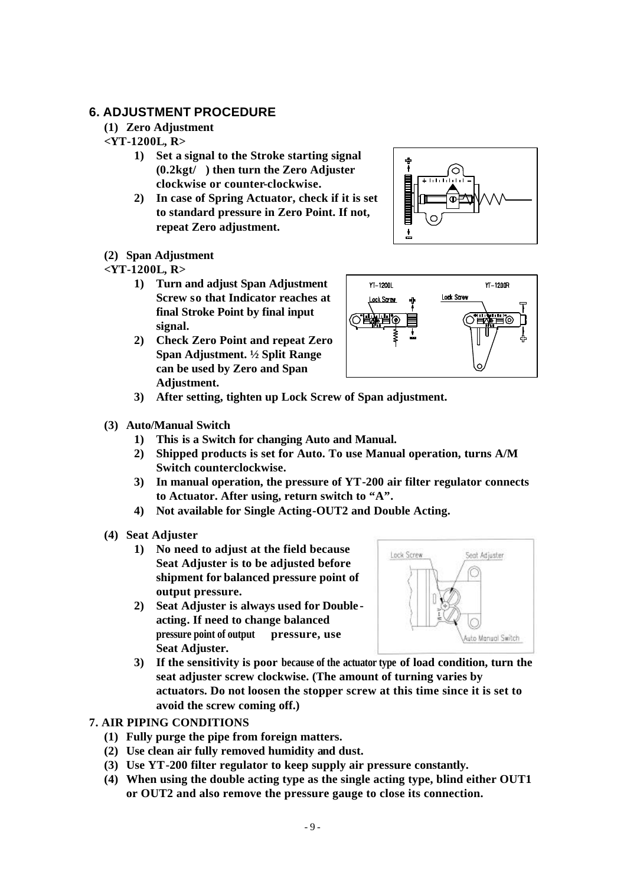#### **6. ADJUSTMENT PROCEDURE**

#### **(1) Zero Adjustment**

#### **<YT-1200L, R>**

- **1) Set a signal to the Stroke starting signal (0.2kgt/) then turn the Zero Adjuster clockwise or counter-clockwise.**
- **2) In case of Spring Actuator, check if it is set to standard pressure in Zero Point. If not, repeat Zero adjustment.**

#### **(2) Span Adjustment**

#### **<YT-1200L, R>**

- **1) Turn and adjust Span Adjustment Screw so that Indicator reaches at final Stroke Point by final input signal.**
- **2) Check Zero Point and repeat Zero Span Adjustment. ½ Split Range can be used by Zero and Span Adjustment.**





- **3) After setting, tighten up Lock Screw of Span adjustment.**
- **(3) Auto/Manual Switch**
	- **1) This is a Switch for changing Auto and Manual.**
	- **2) Shipped products is set for Auto. To use Manual operation, turns A/M Switch counterclockwise.**
	- **3) In manual operation, the pressure of YT-200 air filter regulator connects to Actuator. After using, return switch to "A".**
	- **4) Not available for Single Acting-OUT2 and Double Acting.**
- **(4) Seat Adjuster**
	- **1) No need to adjust at the field because Seat Adjuster is to be adjusted before shipment for balanced pressure point of output pressure.**
	- **2) Seat Adjuster is always used for Double acting. If need to change balanced pressure point of output pressure, use Seat Adjuster.**



**3) If the sensitivity is poor because of the actuator type of load condition, turn the seat adjuster screw clockwise. (The amount of turning varies by actuators. Do not loosen the stopper screw at this time since it is set to avoid the screw coming off.)**

#### **7. AIR PIPING CONDITIONS**

- **(1) Fully purge the pipe from foreign matters.**
- **(2) Use clean air fully removed humidity and dust.**
- **(3) Use YT-200 filter regulator to keep supply air pressure constantly.**
- **(4) When using the double acting type as the single acting type, blind either OUT1 or OUT2 and also remove the pressure gauge to close its connection.**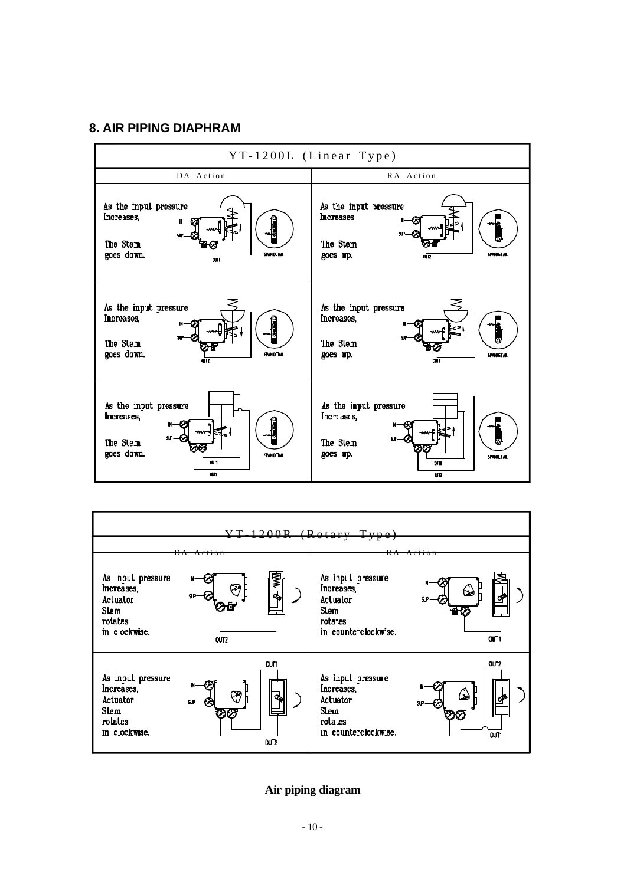#### **8. AIR PIPING DIAPHRAM**





**Air piping diagram**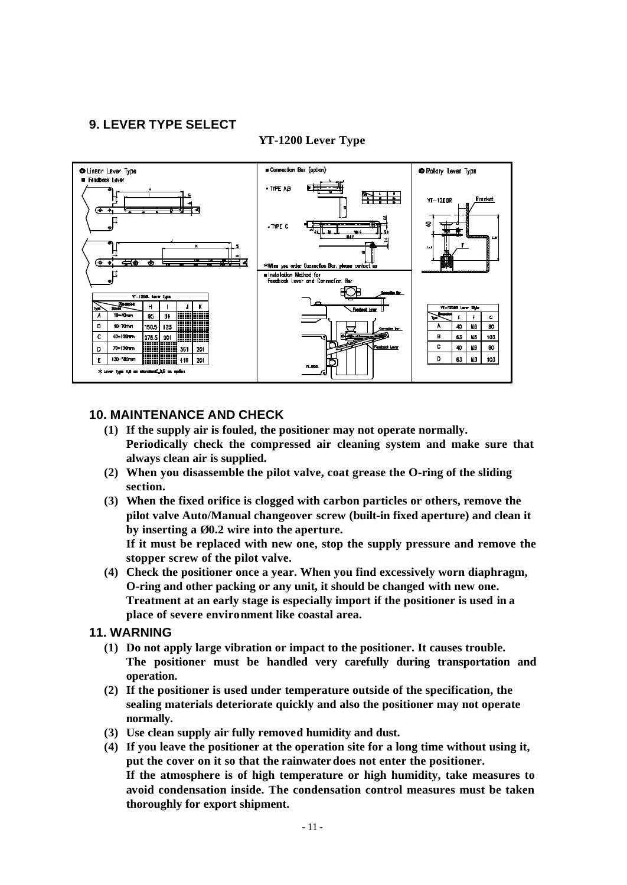#### **9. LEVER TYPE SELECT**

#### **YT-1200 Lever Type**



#### **10. MAINTENANCE AND CHECK**

- **(1) If the supply air is fouled, the positioner may not operate normally. Periodically check the compressed air cleaning system and make sure that always clean air is supplied.**
- **(2) When you disassemble the pilot valve, coat grease the O-ring of the sliding section.**
- **(3) When the fixed orifice is clogged with carbon particles or others, remove the pilot valve Auto/Manual changeover screw (built-in fixed aperture) and clean it by inserting a Ø0.2 wire into the aperture.**

**If it must be replaced with new one, stop the supply pressure and remove the stopper screw of the pilot valve.**

**(4) Check the positioner once a year. When you find excessively worn diaphragm, O-ring and other packing or any unit, it should be changed with new one. Treatment at an early stage is especially import if the positioner is used in a place of severe environment like coastal area.**

#### **11. WARNING**

- **(1) Do not apply large vibration or impact to the positioner. It causes trouble. The positioner must be handled very carefully during transportation and operation.**
- **(2) If the positioner is used under temperature outside of the specification, the sealing materials deteriorate quickly and also the positioner may not operate normally.**
- **(3) Use clean supply air fully removed humidity and dust.**
- **(4) If you leave the positioner at the operation site for a long time without using it, put the cover on it so that the rainwater does not enter the positioner. If the atmosphere is of high temperature or high humidity, take measures to avoid condensation inside. The condensation control measures must be taken thoroughly for export shipment.**